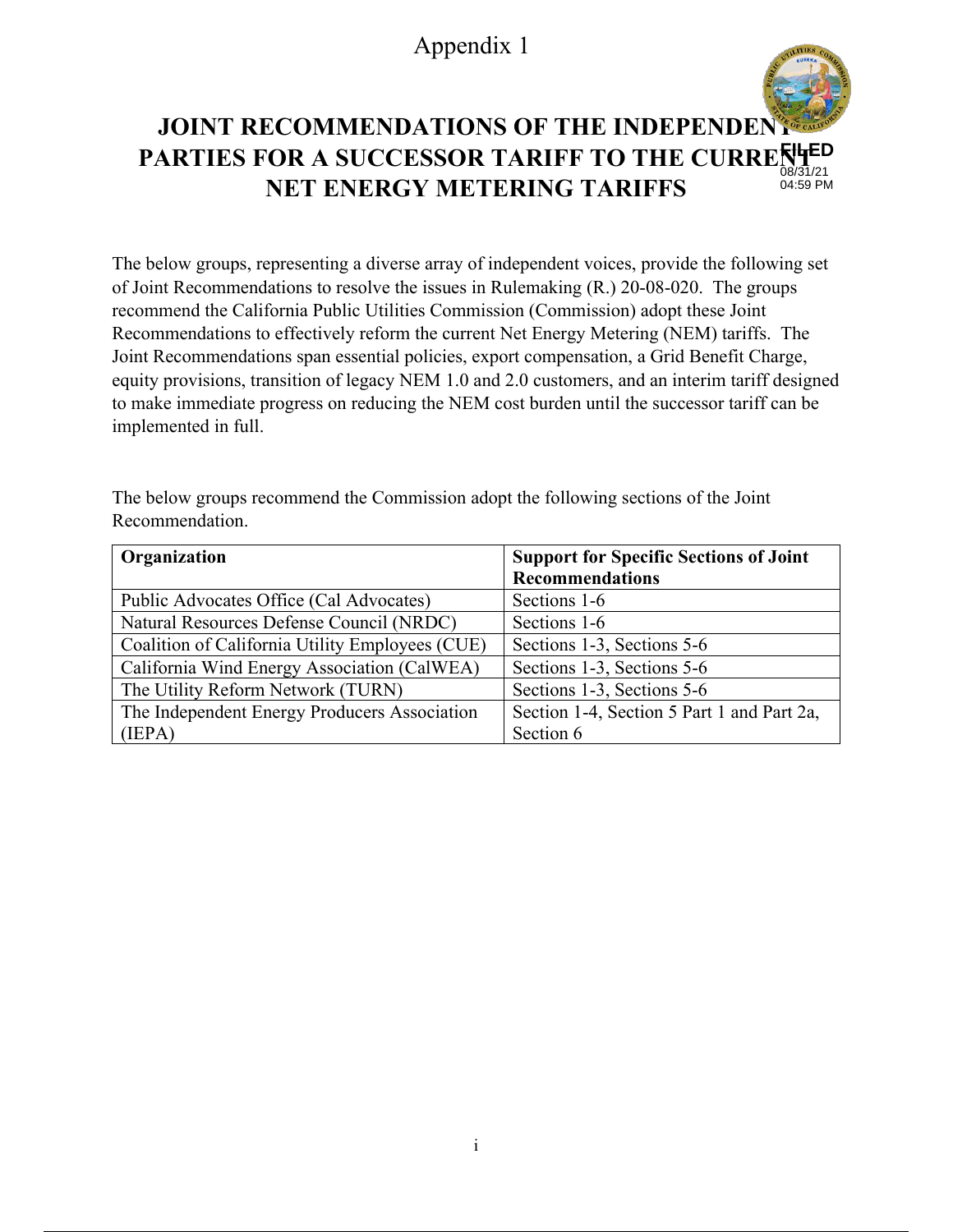# Appendix 1

#### **JOINT RECOMMENDATIONS OF THE INDEPENDENT PARTIES FOR A SUCCESSOR TARIFF TO THE CURRERTHED NET ENERGY METERING TARIFFS**  08/31/21 04:59 PM

The below groups, representing a diverse array of independent voices, provide the following set of Joint Recommendations to resolve the issues in Rulemaking (R.) 20-08-020. The groups recommend the California Public Utilities Commission (Commission) adopt these Joint Recommendations to effectively reform the current Net Energy Metering (NEM) tariffs. The Joint Recommendations span essential policies, export compensation, a Grid Benefit Charge, equity provisions, transition of legacy NEM 1.0 and 2.0 customers, and an interim tariff designed to make immediate progress on reducing the NEM cost burden until the successor tariff can be implemented in full.

The below groups recommend the Commission adopt the following sections of the Joint Recommendation.

| Organization                                    | <b>Support for Specific Sections of Joint</b> |
|-------------------------------------------------|-----------------------------------------------|
|                                                 | <b>Recommendations</b>                        |
| Public Advocates Office (Cal Advocates)         | Sections 1-6                                  |
| Natural Resources Defense Council (NRDC)        | Sections 1-6                                  |
| Coalition of California Utility Employees (CUE) | Sections 1-3, Sections 5-6                    |
| California Wind Energy Association (CalWEA)     | Sections 1-3, Sections 5-6                    |
| The Utility Reform Network (TURN)               | Sections 1-3, Sections 5-6                    |
| The Independent Energy Producers Association    | Section 1-4, Section 5 Part 1 and Part 2a,    |
| (IEPA)                                          | Section 6                                     |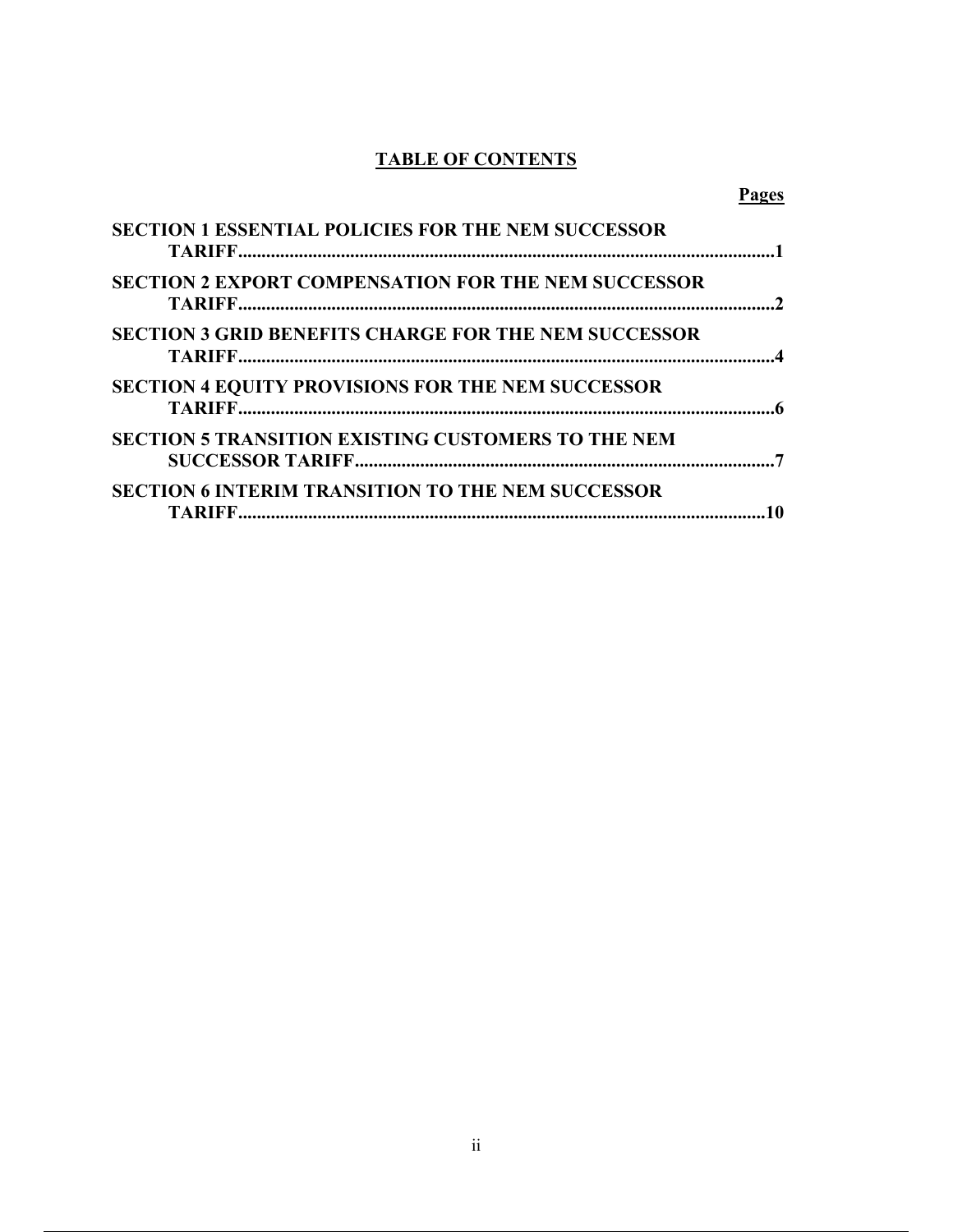# **TABLE OF CONTENTS**

## **Pages**

| <b>SECTION 1 ESSENTIAL POLICIES FOR THE NEM SUCCESSOR</b>   |  |
|-------------------------------------------------------------|--|
| <b>SECTION 2 EXPORT COMPENSATION FOR THE NEM SUCCESSOR</b>  |  |
| <b>SECTION 3 GRID BENEFITS CHARGE FOR THE NEM SUCCESSOR</b> |  |
| <b>SECTION 4 EQUITY PROVISIONS FOR THE NEM SUCCESSOR</b>    |  |
| <b>SECTION 5 TRANSITION EXISTING CUSTOMERS TO THE NEM</b>   |  |
| <b>SECTION 6 INTERIM TRANSITION TO THE NEM SUCCESSOR</b>    |  |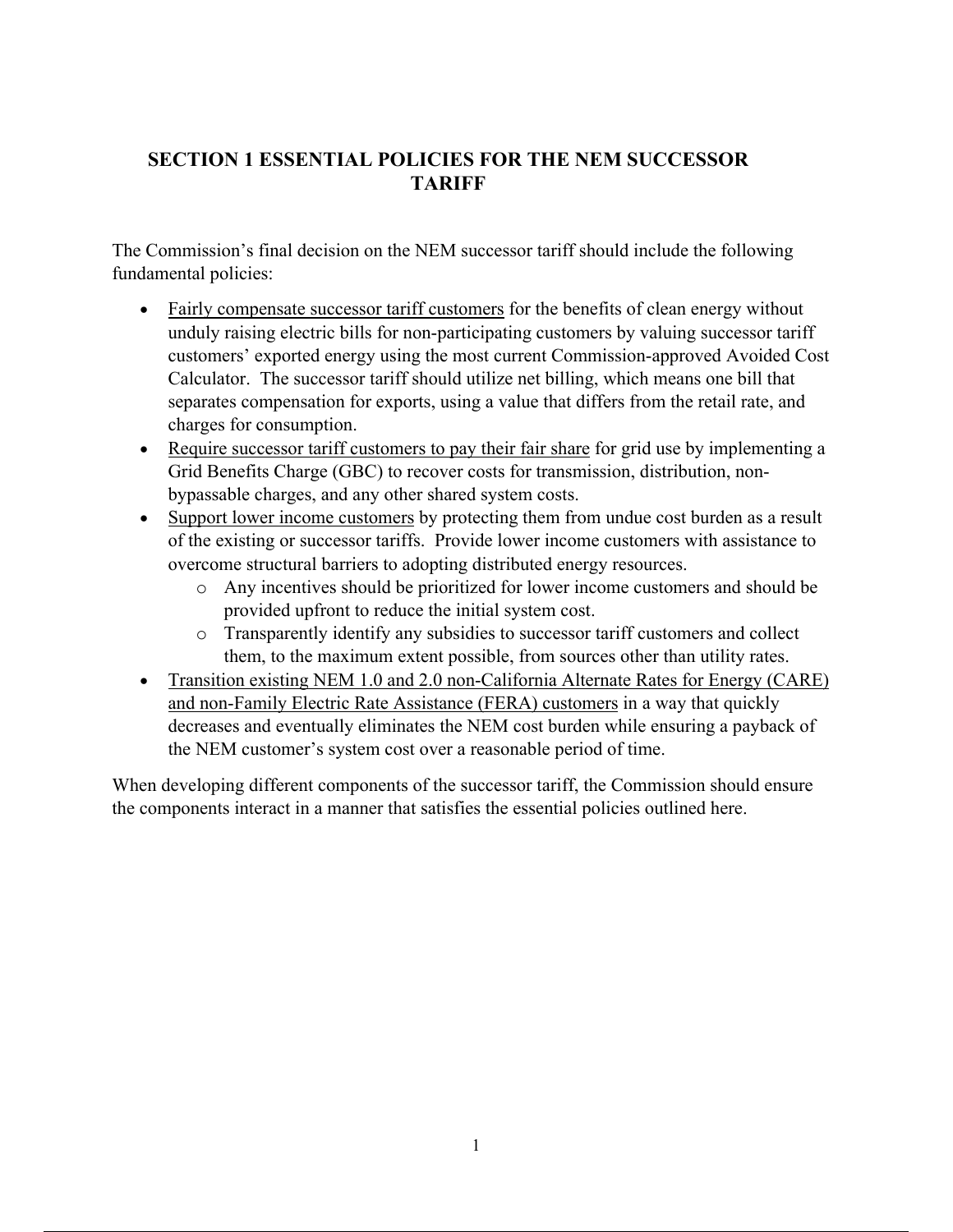# **SECTION 1 ESSENTIAL POLICIES FOR THE NEM SUCCESSOR TARIFF**

The Commission's final decision on the NEM successor tariff should include the following fundamental policies:

- Fairly compensate successor tariff customers for the benefits of clean energy without unduly raising electric bills for non-participating customers by valuing successor tariff customers' exported energy using the most current Commission-approved Avoided Cost Calculator. The successor tariff should utilize net billing, which means one bill that separates compensation for exports, using a value that differs from the retail rate, and charges for consumption.
- Require successor tariff customers to pay their fair share for grid use by implementing a Grid Benefits Charge (GBC) to recover costs for transmission, distribution, nonbypassable charges, and any other shared system costs.
- Support lower income customers by protecting them from undue cost burden as a result of the existing or successor tariffs. Provide lower income customers with assistance to overcome structural barriers to adopting distributed energy resources.
	- o Any incentives should be prioritized for lower income customers and should be provided upfront to reduce the initial system cost.
	- o Transparently identify any subsidies to successor tariff customers and collect them, to the maximum extent possible, from sources other than utility rates.
- Transition existing NEM 1.0 and 2.0 non-California Alternate Rates for Energy (CARE) and non-Family Electric Rate Assistance (FERA) customers in a way that quickly decreases and eventually eliminates the NEM cost burden while ensuring a payback of the NEM customer's system cost over a reasonable period of time.

When developing different components of the successor tariff, the Commission should ensure the components interact in a manner that satisfies the essential policies outlined here.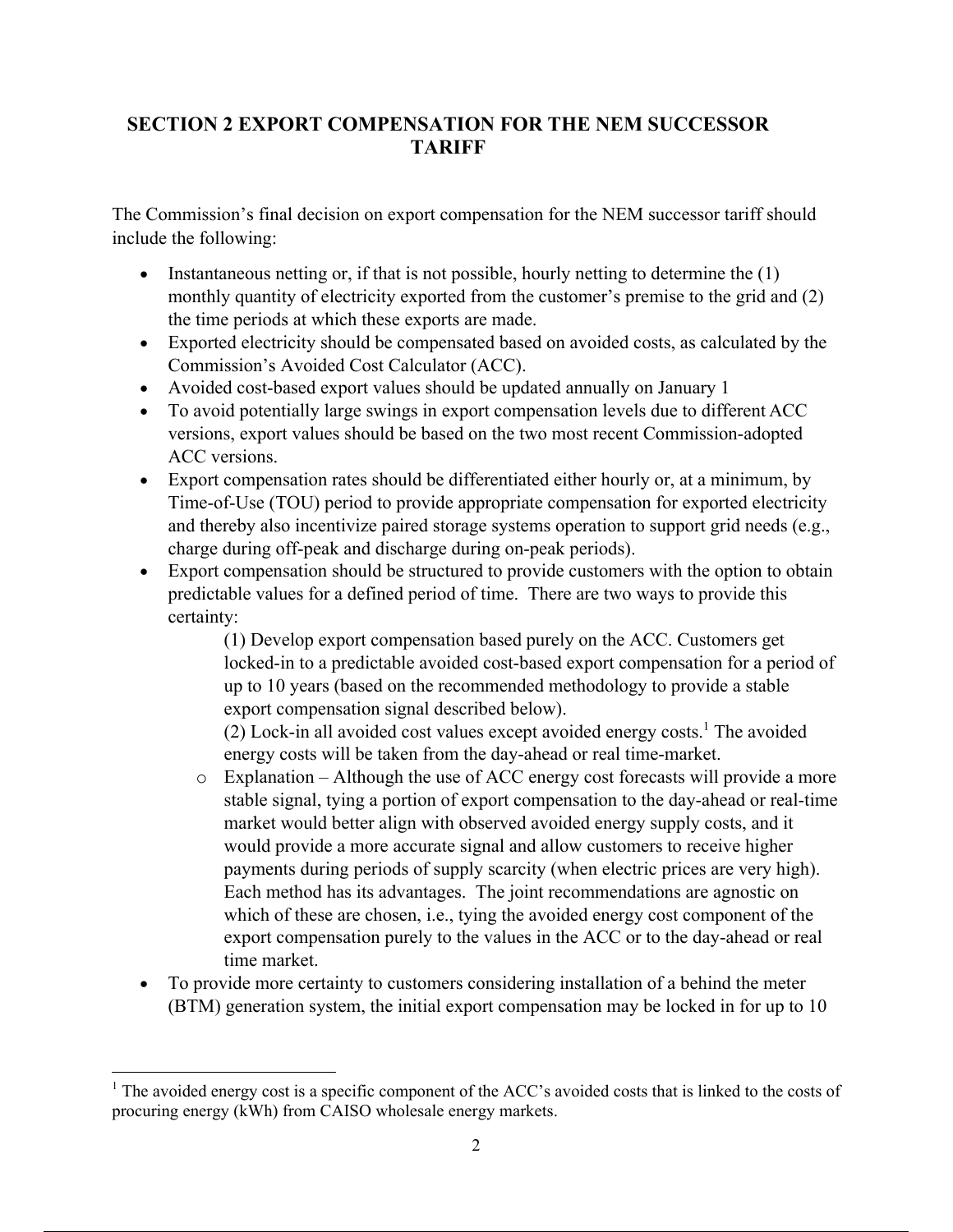# **SECTION 2 EXPORT COMPENSATION FOR THE NEM SUCCESSOR TARIFF**

The Commission's final decision on export compensation for the NEM successor tariff should include the following:

- Instantaneous netting or, if that is not possible, hourly netting to determine the  $(1)$ monthly quantity of electricity exported from the customer's premise to the grid and (2) the time periods at which these exports are made.
- Exported electricity should be compensated based on avoided costs, as calculated by the Commission's Avoided Cost Calculator (ACC).
- Avoided cost-based export values should be updated annually on January 1
- To avoid potentially large swings in export compensation levels due to different ACC versions, export values should be based on the two most recent Commission-adopted ACC versions.
- Export compensation rates should be differentiated either hourly or, at a minimum, by Time-of-Use (TOU) period to provide appropriate compensation for exported electricity and thereby also incentivize paired storage systems operation to support grid needs (e.g., charge during off-peak and discharge during on-peak periods).
- Export compensation should be structured to provide customers with the option to obtain predictable values for a defined period of time. There are two ways to provide this certainty:

(1) Develop export compensation based purely on the ACC. Customers get locked-in to a predictable avoided cost-based export compensation for a period of up to 10 years (based on the recommended methodology to provide a stable export compensation signal described below).

 $(2)$  Lock-in all avoided cost values except avoided energy costs.<sup>1</sup> The avoided energy costs will be taken from the day-ahead or real time-market.

- o Explanation Although the use of ACC energy cost forecasts will provide a more stable signal, tying a portion of export compensation to the day-ahead or real-time market would better align with observed avoided energy supply costs, and it would provide a more accurate signal and allow customers to receive higher payments during periods of supply scarcity (when electric prices are very high). Each method has its advantages. The joint recommendations are agnostic on which of these are chosen, i.e., tying the avoided energy cost component of the export compensation purely to the values in the ACC or to the day-ahead or real time market.
- To provide more certainty to customers considering installation of a behind the meter (BTM) generation system, the initial export compensation may be locked in for up to 10

<sup>&</sup>lt;sup>1</sup> The avoided energy cost is a specific component of the ACC's avoided costs that is linked to the costs of procuring energy (kWh) from CAISO wholesale energy markets.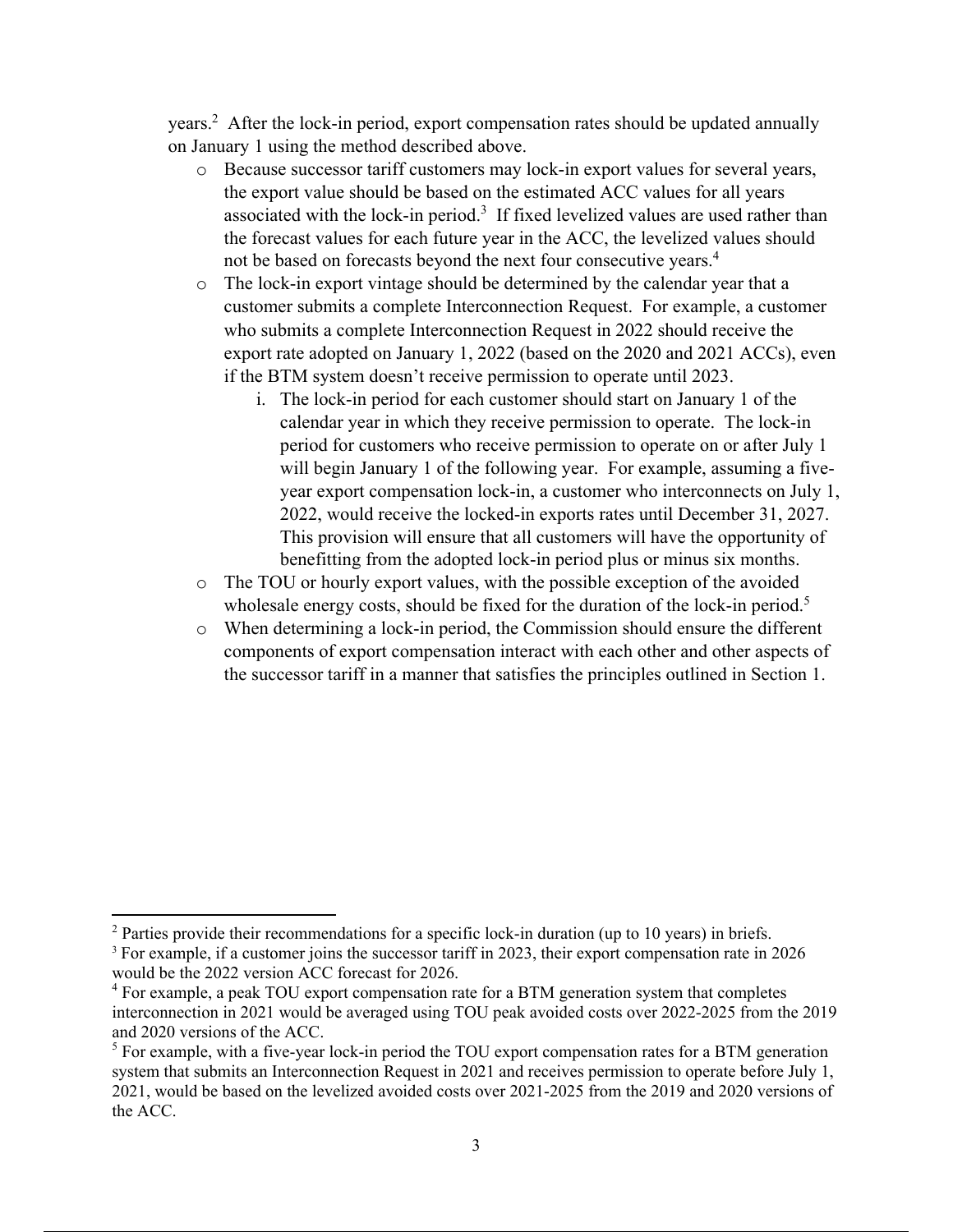years.<sup>2</sup> After the lock-in period, export compensation rates should be updated annually on January 1 using the method described above.

- o Because successor tariff customers may lock-in export values for several years, the export value should be based on the estimated ACC values for all years associated with the lock-in period.<sup>3</sup> If fixed levelized values are used rather than the forecast values for each future year in the ACC, the levelized values should not be based on forecasts beyond the next four consecutive years.<sup>4</sup>
- o The lock-in export vintage should be determined by the calendar year that a customer submits a complete Interconnection Request. For example, a customer who submits a complete Interconnection Request in 2022 should receive the export rate adopted on January 1, 2022 (based on the 2020 and 2021 ACCs), even if the BTM system doesn't receive permission to operate until 2023.
	- i. The lock-in period for each customer should start on January 1 of the calendar year in which they receive permission to operate. The lock-in period for customers who receive permission to operate on or after July 1 will begin January 1 of the following year. For example, assuming a fiveyear export compensation lock-in, a customer who interconnects on July 1, 2022, would receive the locked-in exports rates until December 31, 2027. This provision will ensure that all customers will have the opportunity of benefitting from the adopted lock-in period plus or minus six months.
- o The TOU or hourly export values, with the possible exception of the avoided wholesale energy costs, should be fixed for the duration of the lock-in period.<sup>5</sup>
- o When determining a lock-in period, the Commission should ensure the different components of export compensation interact with each other and other aspects of the successor tariff in a manner that satisfies the principles outlined in Section 1.

<sup>&</sup>lt;sup>2</sup> Parties provide their recommendations for a specific lock-in duration (up to 10 years) in briefs.

<sup>3</sup> For example, if a customer joins the successor tariff in 2023, their export compensation rate in 2026 would be the 2022 version ACC forecast for 2026. 4

<sup>&</sup>lt;sup>4</sup> For example, a peak TOU export compensation rate for a BTM generation system that completes interconnection in 2021 would be averaged using TOU peak avoided costs over 2022-2025 from the 2019 and 2020 versions of the ACC.

<sup>&</sup>lt;sup>5</sup> For example, with a five-year lock-in period the TOU export compensation rates for a BTM generation system that submits an Interconnection Request in 2021 and receives permission to operate before July 1, 2021, would be based on the levelized avoided costs over 2021-2025 from the 2019 and 2020 versions of the ACC.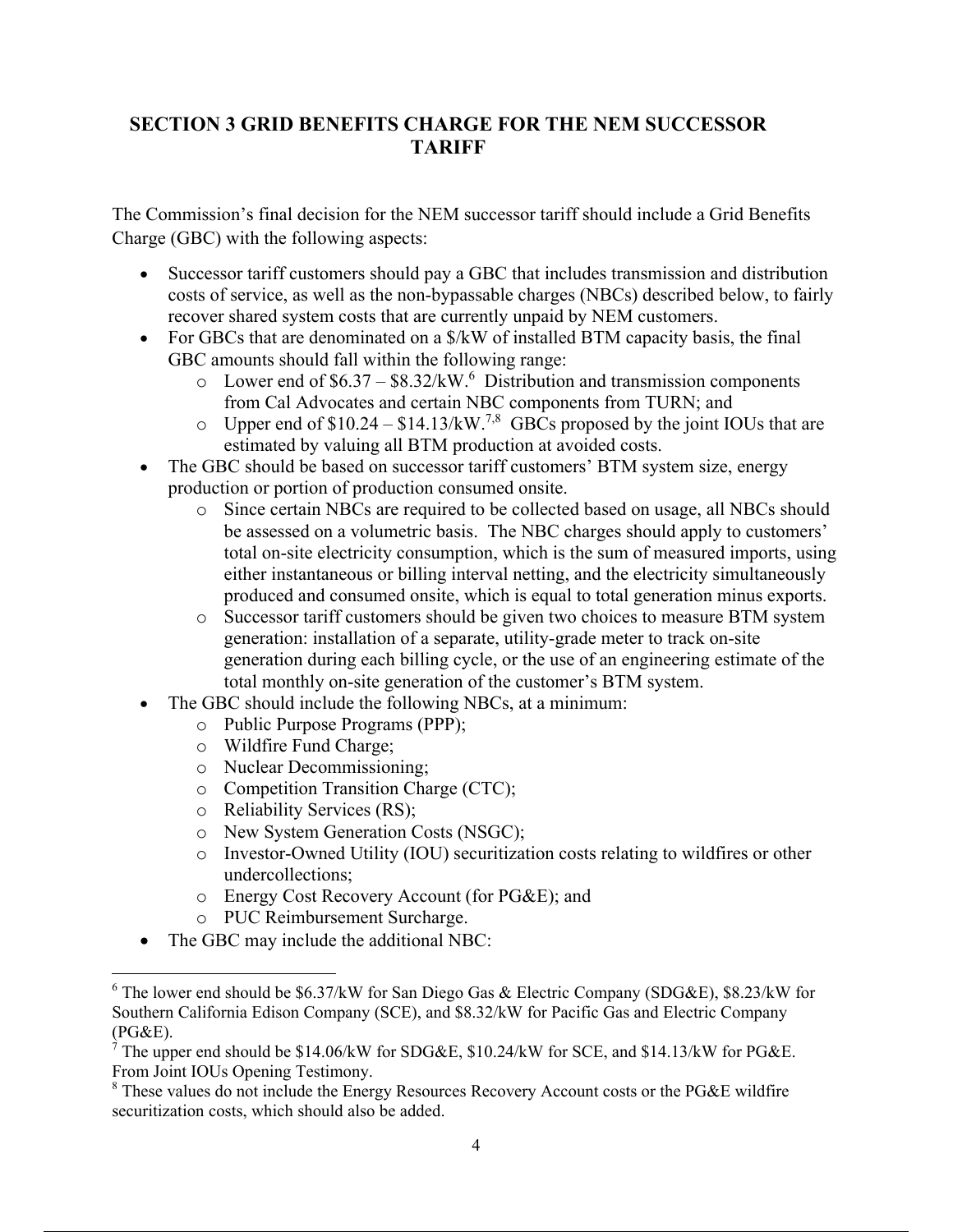# **SECTION 3 GRID BENEFITS CHARGE FOR THE NEM SUCCESSOR TARIFF**

The Commission's final decision for the NEM successor tariff should include a Grid Benefits Charge (GBC) with the following aspects:

- Successor tariff customers should pay a GBC that includes transmission and distribution costs of service, as well as the non-bypassable charges (NBCs) described below, to fairly recover shared system costs that are currently unpaid by NEM customers.
- For GBCs that are denominated on a  $\frac{K}{W}$  of installed BTM capacity basis, the final GBC amounts should fall within the following range:
	- $\circ$  Lower end of \$6.37 \$8.32/kW.<sup>6</sup> Distribution and transmission components from Cal Advocates and certain NBC components from TURN; and
	- $\circ$  Upper end of \$10.24 \$14.13/kW.<sup>7,8</sup> GBCs proposed by the joint IOUs that are estimated by valuing all BTM production at avoided costs.
- The GBC should be based on successor tariff customers' BTM system size, energy production or portion of production consumed onsite.
	- o Since certain NBCs are required to be collected based on usage, all NBCs should be assessed on a volumetric basis. The NBC charges should apply to customers' total on-site electricity consumption, which is the sum of measured imports, using either instantaneous or billing interval netting, and the electricity simultaneously produced and consumed onsite, which is equal to total generation minus exports.
	- o Successor tariff customers should be given two choices to measure BTM system generation: installation of a separate, utility-grade meter to track on-site generation during each billing cycle, or the use of an engineering estimate of the total monthly on-site generation of the customer's BTM system.
- The GBC should include the following NBCs, at a minimum:
	- o Public Purpose Programs (PPP);
	- o Wildfire Fund Charge;
	- o Nuclear Decommissioning;
	- o Competition Transition Charge (CTC);
	- o Reliability Services (RS);
	- o New System Generation Costs (NSGC);
	- o Investor-Owned Utility (IOU) securitization costs relating to wildfires or other undercollections;
	- o Energy Cost Recovery Account (for PG&E); and
	- o PUC Reimbursement Surcharge.
- The GBC may include the additional NBC:

 $6$  The lower end should be \$6.37/kW for San Diego Gas & Electric Company (SDG&E), \$8.23/kW for Southern California Edison Company (SCE), and \$8.32/kW for Pacific Gas and Electric Company (PG&E).

<sup>&</sup>lt;sup>7</sup> The upper end should be \$14.06/kW for SDG&E, \$10.24/kW for SCE, and \$14.13/kW for PG&E. From Joint IOUs Opening Testimony.

 $8$  These values do not include the Energy Resources Recovery Account costs or the PG&E wildfire securitization costs, which should also be added.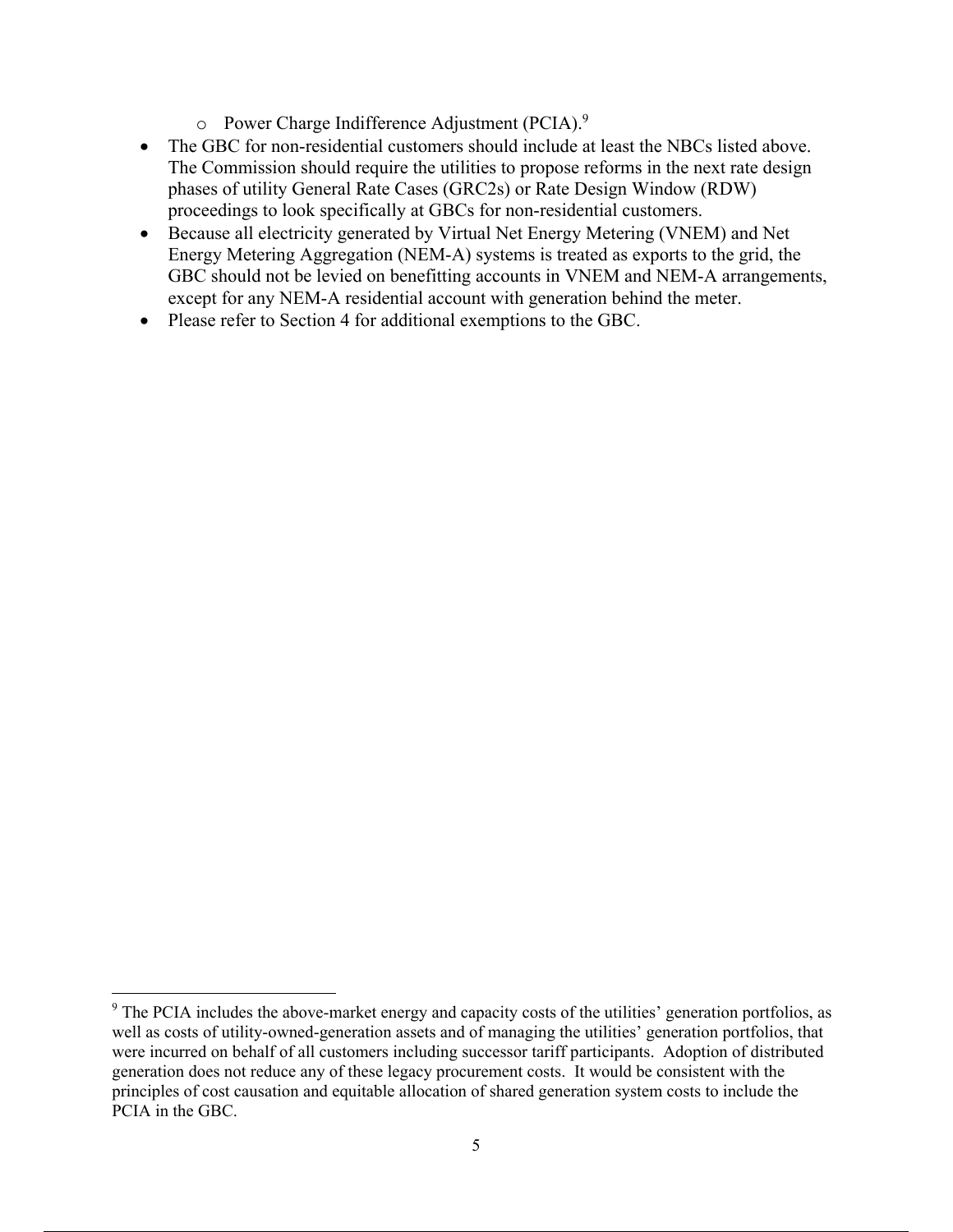- o Power Charge Indifference Adjustment (PCIA).9
- The GBC for non-residential customers should include at least the NBCs listed above. The Commission should require the utilities to propose reforms in the next rate design phases of utility General Rate Cases (GRC2s) or Rate Design Window (RDW) proceedings to look specifically at GBCs for non-residential customers.
- Because all electricity generated by Virtual Net Energy Metering (VNEM) and Net Energy Metering Aggregation (NEM-A) systems is treated as exports to the grid, the GBC should not be levied on benefitting accounts in VNEM and NEM-A arrangements, except for any NEM-A residential account with generation behind the meter.
- Please refer to Section 4 for additional exemptions to the GBC.

<sup>&</sup>lt;sup>9</sup> The PCIA includes the above-market energy and capacity costs of the utilities' generation portfolios, as well as costs of utility-owned-generation assets and of managing the utilities' generation portfolios, that were incurred on behalf of all customers including successor tariff participants. Adoption of distributed generation does not reduce any of these legacy procurement costs. It would be consistent with the principles of cost causation and equitable allocation of shared generation system costs to include the PCIA in the GBC.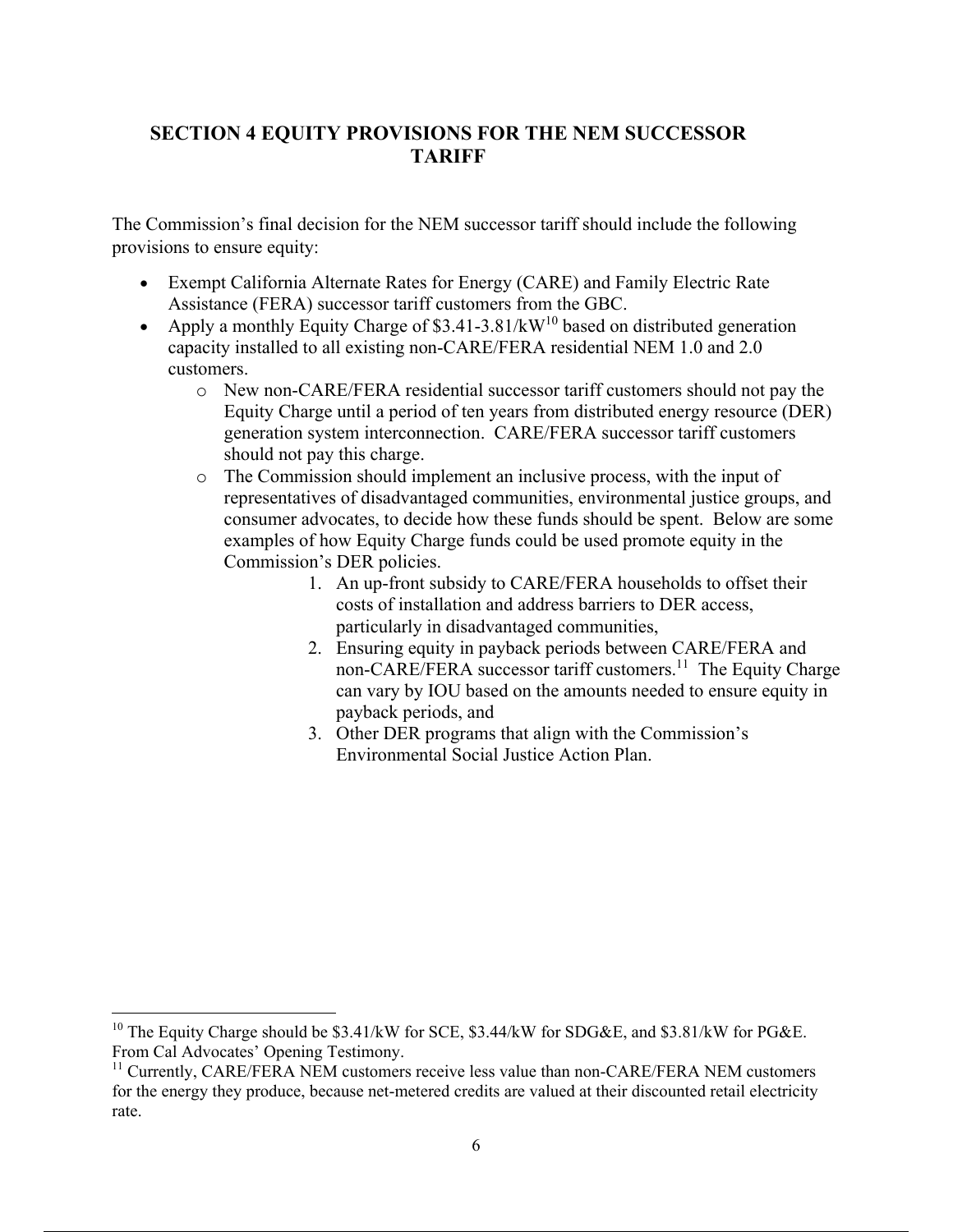# **SECTION 4 EQUITY PROVISIONS FOR THE NEM SUCCESSOR TARIFF**

The Commission's final decision for the NEM successor tariff should include the following provisions to ensure equity:

- Exempt California Alternate Rates for Energy (CARE) and Family Electric Rate Assistance (FERA) successor tariff customers from the GBC.
- Apply a monthly Equity Charge of  $$3.41-3.81/kW^{10}$  based on distributed generation capacity installed to all existing non-CARE/FERA residential NEM 1.0 and 2.0 customers.
	- o New non-CARE/FERA residential successor tariff customers should not pay the Equity Charge until a period of ten years from distributed energy resource (DER) generation system interconnection. CARE/FERA successor tariff customers should not pay this charge.
	- o The Commission should implement an inclusive process, with the input of representatives of disadvantaged communities, environmental justice groups, and consumer advocates, to decide how these funds should be spent. Below are some examples of how Equity Charge funds could be used promote equity in the Commission's DER policies.
		- 1. An up-front subsidy to CARE/FERA households to offset their costs of installation and address barriers to DER access, particularly in disadvantaged communities,
		- 2. Ensuring equity in payback periods between CARE/FERA and non-CARE/FERA successor tariff customers.<sup>11</sup> The Equity Charge can vary by IOU based on the amounts needed to ensure equity in payback periods, and
		- 3. Other DER programs that align with the Commission's Environmental Social Justice Action Plan.

<sup>&</sup>lt;sup>10</sup> The Equity Charge should be  $$3.41/kW$  for SCE,  $$3.44/kW$  for SDG&E, and  $$3.81/kW$  for PG&E. From Cal Advocates' Opening Testimony.

 $11$  Currently, CARE/FERA NEM customers receive less value than non-CARE/FERA NEM customers for the energy they produce, because net-metered credits are valued at their discounted retail electricity rate.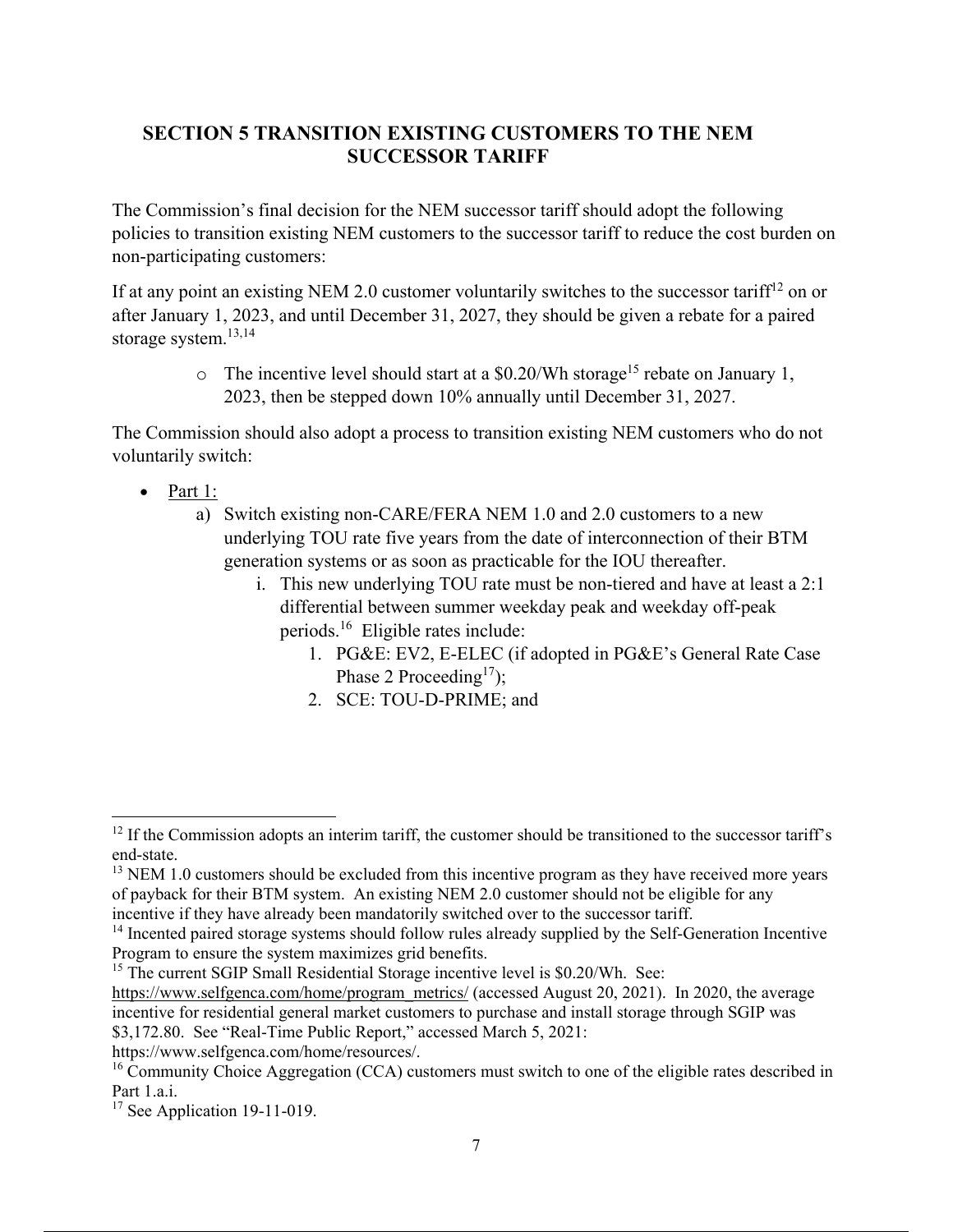# **SECTION 5 TRANSITION EXISTING CUSTOMERS TO THE NEM SUCCESSOR TARIFF**

The Commission's final decision for the NEM successor tariff should adopt the following policies to transition existing NEM customers to the successor tariff to reduce the cost burden on non-participating customers:

If at any point an existing NEM 2.0 customer voluntarily switches to the successor tariff<sup>12</sup> on or after January 1, 2023, and until December 31, 2027, they should be given a rebate for a paired storage system.<sup>13,14</sup>

> $\circ$  The incentive level should start at a \$0.20/Wh storage<sup>15</sup> rebate on January 1, 2023, then be stepped down 10% annually until December 31, 2027.

The Commission should also adopt a process to transition existing NEM customers who do not voluntarily switch:

- $\bullet$  Part 1:
	- a) Switch existing non-CARE/FERA NEM 1.0 and 2.0 customers to a new underlying TOU rate five years from the date of interconnection of their BTM generation systems or as soon as practicable for the IOU thereafter.
		- i. This new underlying TOU rate must be non-tiered and have at least a 2:1 differential between summer weekday peak and weekday off-peak periods.16 Eligible rates include:
			- 1. PG&E: EV2, E-ELEC (if adopted in PG&E's General Rate Case Phase 2 Proceeding<sup>17</sup>);
			- 2. SCE: TOU-D-PRIME; and

https://www.selfgenca.com/home/resources/.

 $12$  If the Commission adopts an interim tariff, the customer should be transitioned to the successor tariff's end-state.

 $13$  NEM 1.0 customers should be excluded from this incentive program as they have received more years of payback for their BTM system. An existing NEM 2.0 customer should not be eligible for any incentive if they have already been mandatorily switched over to the successor tariff.

<sup>&</sup>lt;sup>14</sup> Incented paired storage systems should follow rules already supplied by the Self-Generation Incentive Program to ensure the system maximizes grid benefits.

<sup>&</sup>lt;sup>15</sup> The current SGIP Small Residential Storage incentive level is  $$0.20/Wh$ . See:

https://www.selfgenca.com/home/program\_metrics/ (accessed August 20, 2021). In 2020, the average incentive for residential general market customers to purchase and install storage through SGIP was \$3,172.80. See "Real-Time Public Report," accessed March 5, 2021:

 $16$  Community Choice Aggregation (CCA) customers must switch to one of the eligible rates described in Part 1.a.i.

<sup>&</sup>lt;sup>17</sup> See Application 19-11-019.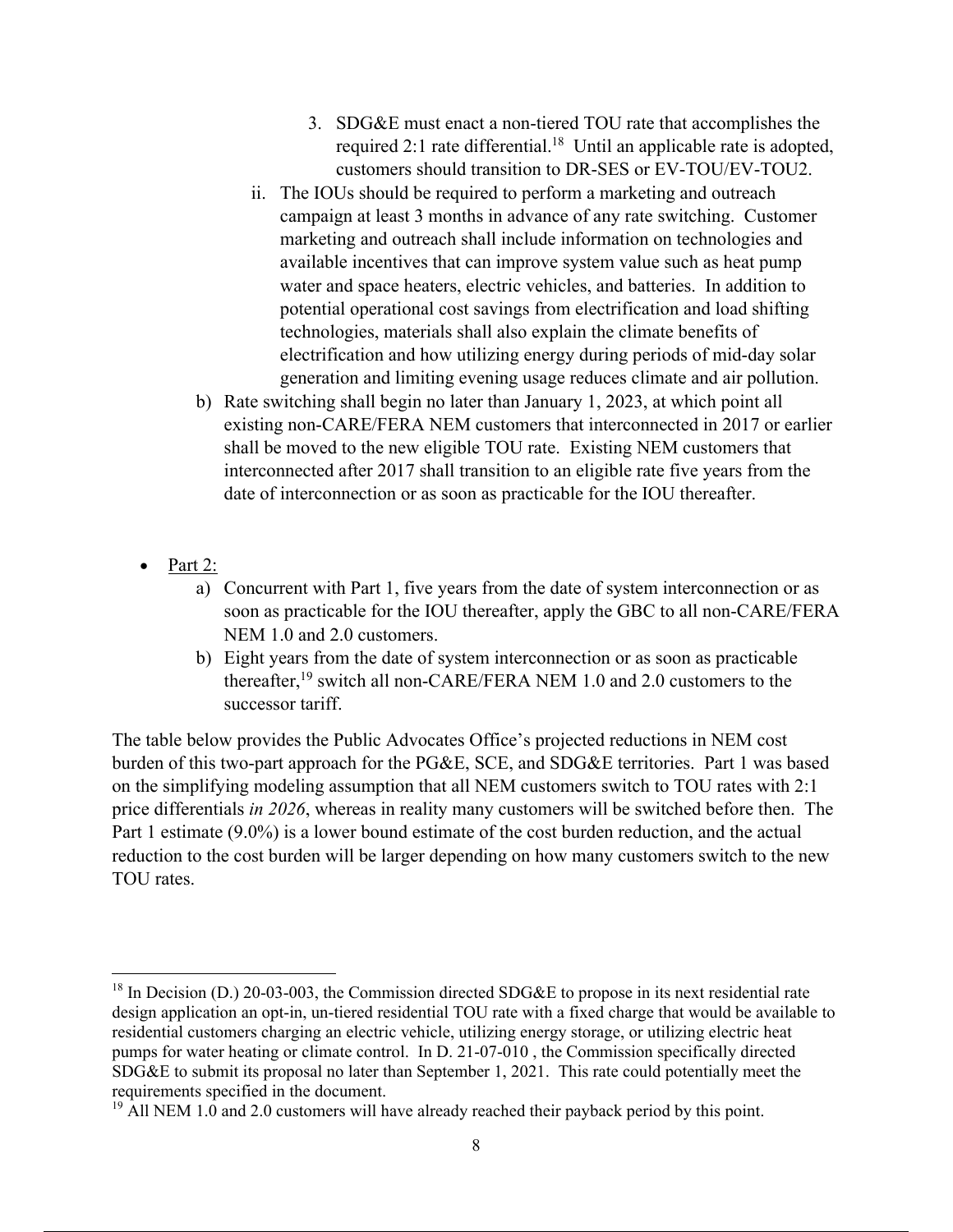- 3. SDG&E must enact a non-tiered TOU rate that accomplishes the required 2:1 rate differential.<sup>18</sup> Until an applicable rate is adopted, customers should transition to DR-SES or EV-TOU/EV-TOU2.
- ii. The IOUs should be required to perform a marketing and outreach campaign at least 3 months in advance of any rate switching. Customer marketing and outreach shall include information on technologies and available incentives that can improve system value such as heat pump water and space heaters, electric vehicles, and batteries. In addition to potential operational cost savings from electrification and load shifting technologies, materials shall also explain the climate benefits of electrification and how utilizing energy during periods of mid-day solar generation and limiting evening usage reduces climate and air pollution.
- b) Rate switching shall begin no later than January 1, 2023, at which point all existing non-CARE/FERA NEM customers that interconnected in 2017 or earlier shall be moved to the new eligible TOU rate. Existing NEM customers that interconnected after 2017 shall transition to an eligible rate five years from the date of interconnection or as soon as practicable for the IOU thereafter.
- Part 2:
	- a) Concurrent with Part 1, five years from the date of system interconnection or as soon as practicable for the IOU thereafter, apply the GBC to all non-CARE/FERA NEM 1.0 and 2.0 customers.
	- b) Eight years from the date of system interconnection or as soon as practicable thereafter,  $^{19}$  switch all non-CARE/FERA NEM 1.0 and 2.0 customers to the successor tariff.

The table below provides the Public Advocates Office's projected reductions in NEM cost burden of this two-part approach for the PG&E, SCE, and SDG&E territories. Part 1 was based on the simplifying modeling assumption that all NEM customers switch to TOU rates with 2:1 price differentials *in 2026*, whereas in reality many customers will be switched before then. The Part 1 estimate (9.0%) is a lower bound estimate of the cost burden reduction, and the actual reduction to the cost burden will be larger depending on how many customers switch to the new TOU rates.

 $^{18}$  In Decision (D.) 20-03-003, the Commission directed SDG&E to propose in its next residential rate design application an opt-in, un-tiered residential TOU rate with a fixed charge that would be available to residential customers charging an electric vehicle, utilizing energy storage, or utilizing electric heat pumps for water heating or climate control. In D. 21-07-010 , the Commission specifically directed SDG&E to submit its proposal no later than September 1, 2021. This rate could potentially meet the requirements specified in the document.

 $19$  All NEM 1.0 and 2.0 customers will have already reached their payback period by this point.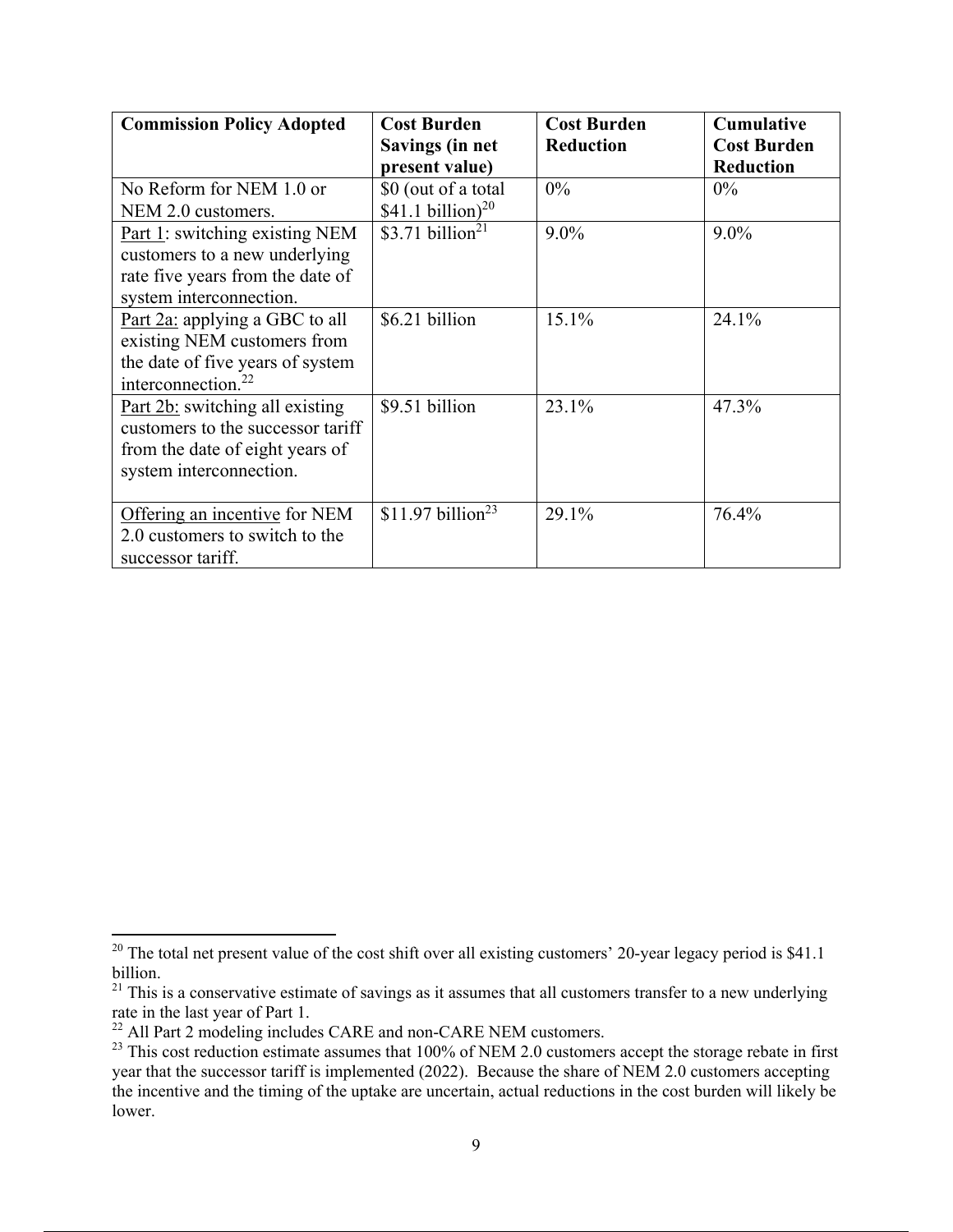| <b>Commission Policy Adopted</b>                                                                                                    | <b>Cost Burden</b><br>Savings (in net<br>present value) | <b>Cost Burden</b><br><b>Reduction</b> | <b>Cumulative</b><br><b>Cost Burden</b><br><b>Reduction</b> |
|-------------------------------------------------------------------------------------------------------------------------------------|---------------------------------------------------------|----------------------------------------|-------------------------------------------------------------|
| No Reform for NEM 1.0 or<br>NEM 2.0 customers.                                                                                      | \$0 (out of a total<br>$$41.1 billion$ <sup>20</sup>    | $0\%$                                  | $0\%$                                                       |
| Part 1: switching existing NEM<br>customers to a new underlying<br>rate five years from the date of<br>system interconnection.      | \$3.71 billion <sup>21</sup>                            | $9.0\%$                                | $9.0\%$                                                     |
| Part 2a: applying a GBC to all<br>existing NEM customers from<br>the date of five years of system<br>interconnection. <sup>22</sup> | \$6.21 billion                                          | 15.1%                                  | 24.1%                                                       |
| Part 2b: switching all existing<br>customers to the successor tariff<br>from the date of eight years of<br>system interconnection.  | \$9.51 billion                                          | 23.1%                                  | 47.3%                                                       |
| Offering an incentive for NEM<br>2.0 customers to switch to the<br>successor tariff.                                                | \$11.97 billion <sup>23</sup>                           | 29.1%                                  | 76.4%                                                       |

<sup>&</sup>lt;sup>20</sup> The total net present value of the cost shift over all existing customers' 20-year legacy period is \$41.1 billion.

 $21$  This is a conservative estimate of savings as it assumes that all customers transfer to a new underlying rate in the last year of Part 1.

 $^{22}$  All Part 2 modeling includes CARE and non-CARE NEM customers.

<sup>&</sup>lt;sup>23</sup> This cost reduction estimate assumes that 100% of NEM 2.0 customers accept the storage rebate in first year that the successor tariff is implemented (2022). Because the share of NEM 2.0 customers accepting the incentive and the timing of the uptake are uncertain, actual reductions in the cost burden will likely be lower.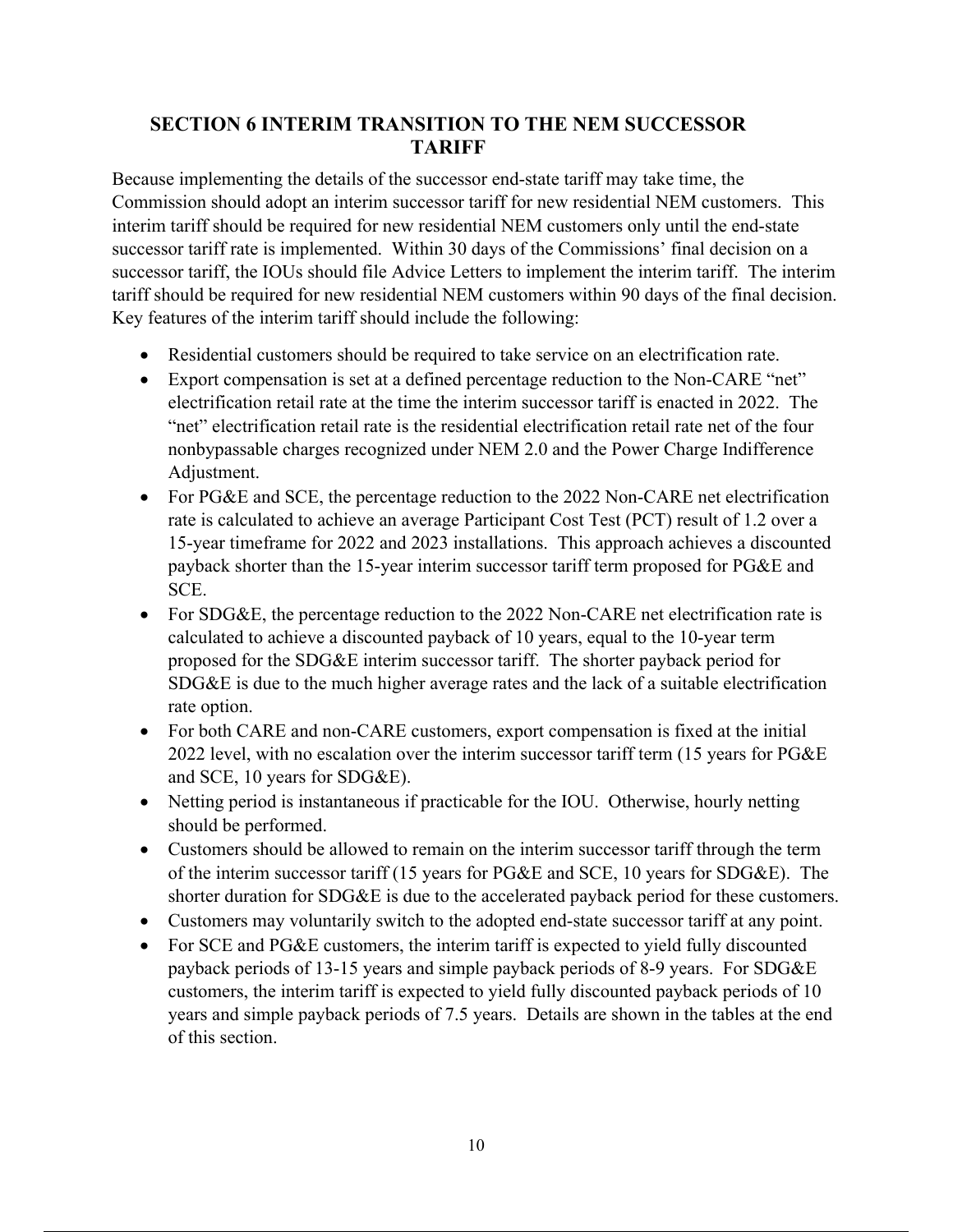## **SECTION 6 INTERIM TRANSITION TO THE NEM SUCCESSOR TARIFF**

Because implementing the details of the successor end-state tariff may take time, the Commission should adopt an interim successor tariff for new residential NEM customers. This interim tariff should be required for new residential NEM customers only until the end-state successor tariff rate is implemented. Within 30 days of the Commissions' final decision on a successor tariff, the IOUs should file Advice Letters to implement the interim tariff. The interim tariff should be required for new residential NEM customers within 90 days of the final decision. Key features of the interim tariff should include the following:

- Residential customers should be required to take service on an electrification rate.
- Export compensation is set at a defined percentage reduction to the Non-CARE "net" electrification retail rate at the time the interim successor tariff is enacted in 2022. The "net" electrification retail rate is the residential electrification retail rate net of the four nonbypassable charges recognized under NEM 2.0 and the Power Charge Indifference Adjustment.
- For PG&E and SCE, the percentage reduction to the 2022 Non-CARE net electrification rate is calculated to achieve an average Participant Cost Test (PCT) result of 1.2 over a 15-year timeframe for 2022 and 2023 installations. This approach achieves a discounted payback shorter than the 15-year interim successor tariff term proposed for PG&E and SCE.
- For SDG&E, the percentage reduction to the 2022 Non-CARE net electrification rate is calculated to achieve a discounted payback of 10 years, equal to the 10-year term proposed for the SDG&E interim successor tariff. The shorter payback period for SDG&E is due to the much higher average rates and the lack of a suitable electrification rate option.
- For both CARE and non-CARE customers, export compensation is fixed at the initial 2022 level, with no escalation over the interim successor tariff term (15 years for PG&E and SCE, 10 years for SDG&E).
- Netting period is instantaneous if practicable for the IOU. Otherwise, hourly netting should be performed.
- Customers should be allowed to remain on the interim successor tariff through the term of the interim successor tariff (15 years for PG&E and SCE, 10 years for SDG&E). The shorter duration for SDG&E is due to the accelerated payback period for these customers.
- Customers may voluntarily switch to the adopted end-state successor tariff at any point.
- For SCE and PG&E customers, the interim tariff is expected to yield fully discounted payback periods of 13-15 years and simple payback periods of 8-9 years. For SDG&E customers, the interim tariff is expected to yield fully discounted payback periods of 10 years and simple payback periods of 7.5 years. Details are shown in the tables at the end of this section.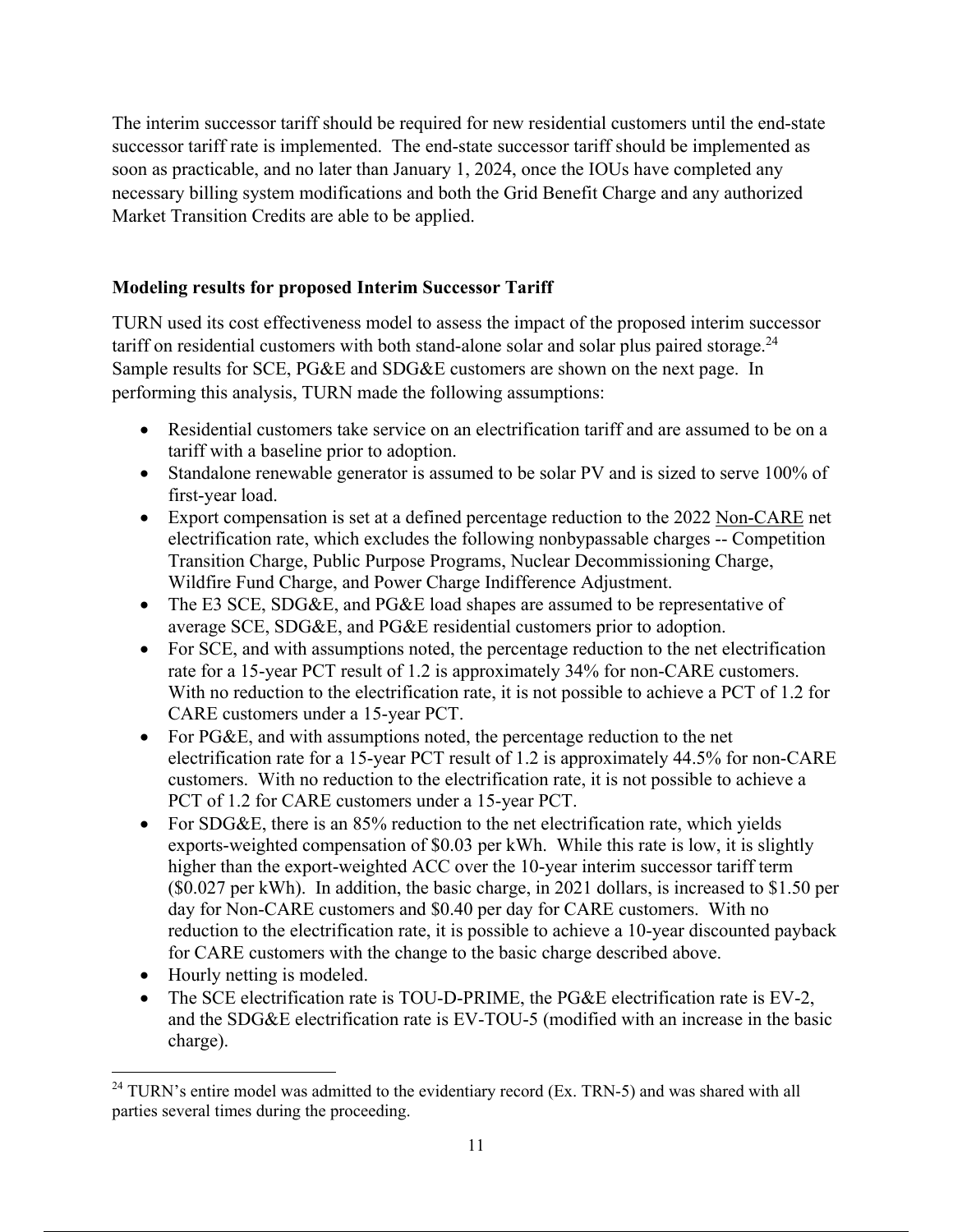The interim successor tariff should be required for new residential customers until the end-state successor tariff rate is implemented. The end-state successor tariff should be implemented as soon as practicable, and no later than January 1, 2024, once the IOUs have completed any necessary billing system modifications and both the Grid Benefit Charge and any authorized Market Transition Credits are able to be applied.

# **Modeling results for proposed Interim Successor Tariff**

TURN used its cost effectiveness model to assess the impact of the proposed interim successor tariff on residential customers with both stand-alone solar and solar plus paired storage.<sup>24</sup> Sample results for SCE, PG&E and SDG&E customers are shown on the next page. In performing this analysis, TURN made the following assumptions:

- Residential customers take service on an electrification tariff and are assumed to be on a tariff with a baseline prior to adoption.
- Standalone renewable generator is assumed to be solar PV and is sized to serve 100% of first-year load.
- Export compensation is set at a defined percentage reduction to the 2022 Non-CARE net electrification rate, which excludes the following nonbypassable charges -- Competition Transition Charge, Public Purpose Programs, Nuclear Decommissioning Charge, Wildfire Fund Charge, and Power Charge Indifference Adjustment.
- The E3 SCE, SDG&E, and PG&E load shapes are assumed to be representative of average SCE, SDG&E, and PG&E residential customers prior to adoption.
- For SCE, and with assumptions noted, the percentage reduction to the net electrification rate for a 15-year PCT result of 1.2 is approximately 34% for non-CARE customers. With no reduction to the electrification rate, it is not possible to achieve a PCT of 1.2 for CARE customers under a 15-year PCT.
- $\bullet$  For PG&E, and with assumptions noted, the percentage reduction to the net electrification rate for a 15-year PCT result of 1.2 is approximately 44.5% for non-CARE customers. With no reduction to the electrification rate, it is not possible to achieve a PCT of 1.2 for CARE customers under a 15-year PCT.
- For SDG&E, there is an  $85\%$  reduction to the net electrification rate, which yields exports-weighted compensation of \$0.03 per kWh. While this rate is low, it is slightly higher than the export-weighted ACC over the 10-year interim successor tariff term (\$0.027 per kWh). In addition, the basic charge, in 2021 dollars, is increased to \$1.50 per day for Non-CARE customers and \$0.40 per day for CARE customers. With no reduction to the electrification rate, it is possible to achieve a 10-year discounted payback for CARE customers with the change to the basic charge described above.
- Hourly netting is modeled.
- The SCE electrification rate is TOU-D-PRIME, the PG&E electrification rate is EV-2, and the SDG&E electrification rate is EV-TOU-5 (modified with an increase in the basic charge).

 $24$  TURN's entire model was admitted to the evidentiary record (Ex. TRN-5) and was shared with all parties several times during the proceeding.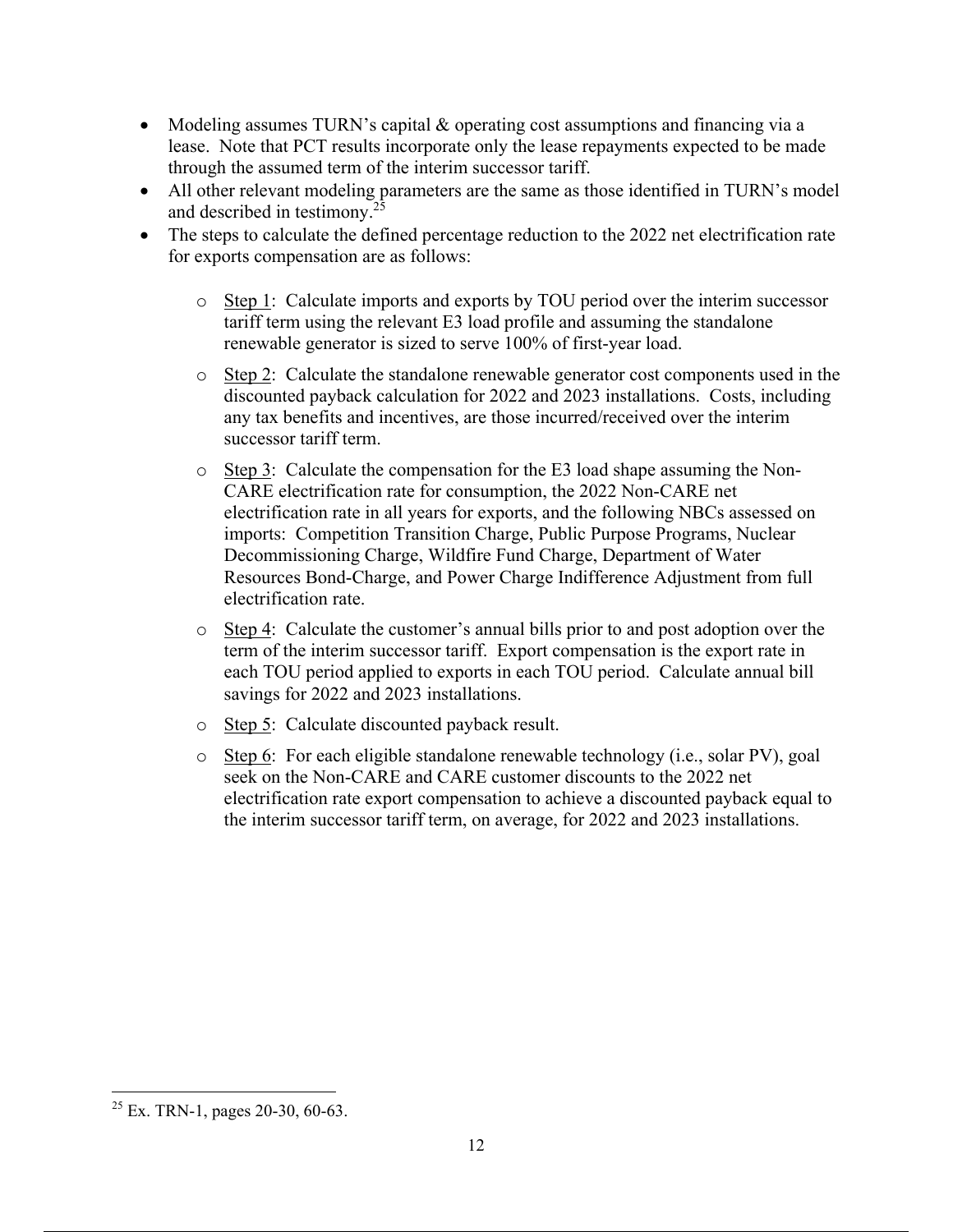- Modeling assumes TURN's capital  $&$  operating cost assumptions and financing via a lease. Note that PCT results incorporate only the lease repayments expected to be made through the assumed term of the interim successor tariff.
- All other relevant modeling parameters are the same as those identified in TURN's model and described in testimony.25
- The steps to calculate the defined percentage reduction to the 2022 net electrification rate for exports compensation are as follows:
	- o Step 1: Calculate imports and exports by TOU period over the interim successor tariff term using the relevant E3 load profile and assuming the standalone renewable generator is sized to serve 100% of first-year load.
	- o Step 2: Calculate the standalone renewable generator cost components used in the discounted payback calculation for 2022 and 2023 installations. Costs, including any tax benefits and incentives, are those incurred/received over the interim successor tariff term.
	- $\circ$  Step 3: Calculate the compensation for the E3 load shape assuming the Non-CARE electrification rate for consumption, the 2022 Non-CARE net electrification rate in all years for exports, and the following NBCs assessed on imports: Competition Transition Charge, Public Purpose Programs, Nuclear Decommissioning Charge, Wildfire Fund Charge, Department of Water Resources Bond-Charge, and Power Charge Indifference Adjustment from full electrification rate.
	- $\circ$  Step 4: Calculate the customer's annual bills prior to and post adoption over the term of the interim successor tariff. Export compensation is the export rate in each TOU period applied to exports in each TOU period. Calculate annual bill savings for 2022 and 2023 installations.
	- o Step 5: Calculate discounted payback result.
	- o Step 6: For each eligible standalone renewable technology (i.e., solar PV), goal seek on the Non-CARE and CARE customer discounts to the 2022 net electrification rate export compensation to achieve a discounted payback equal to the interim successor tariff term, on average, for 2022 and 2023 installations.

 $25$  Ex. TRN-1, pages 20-30, 60-63.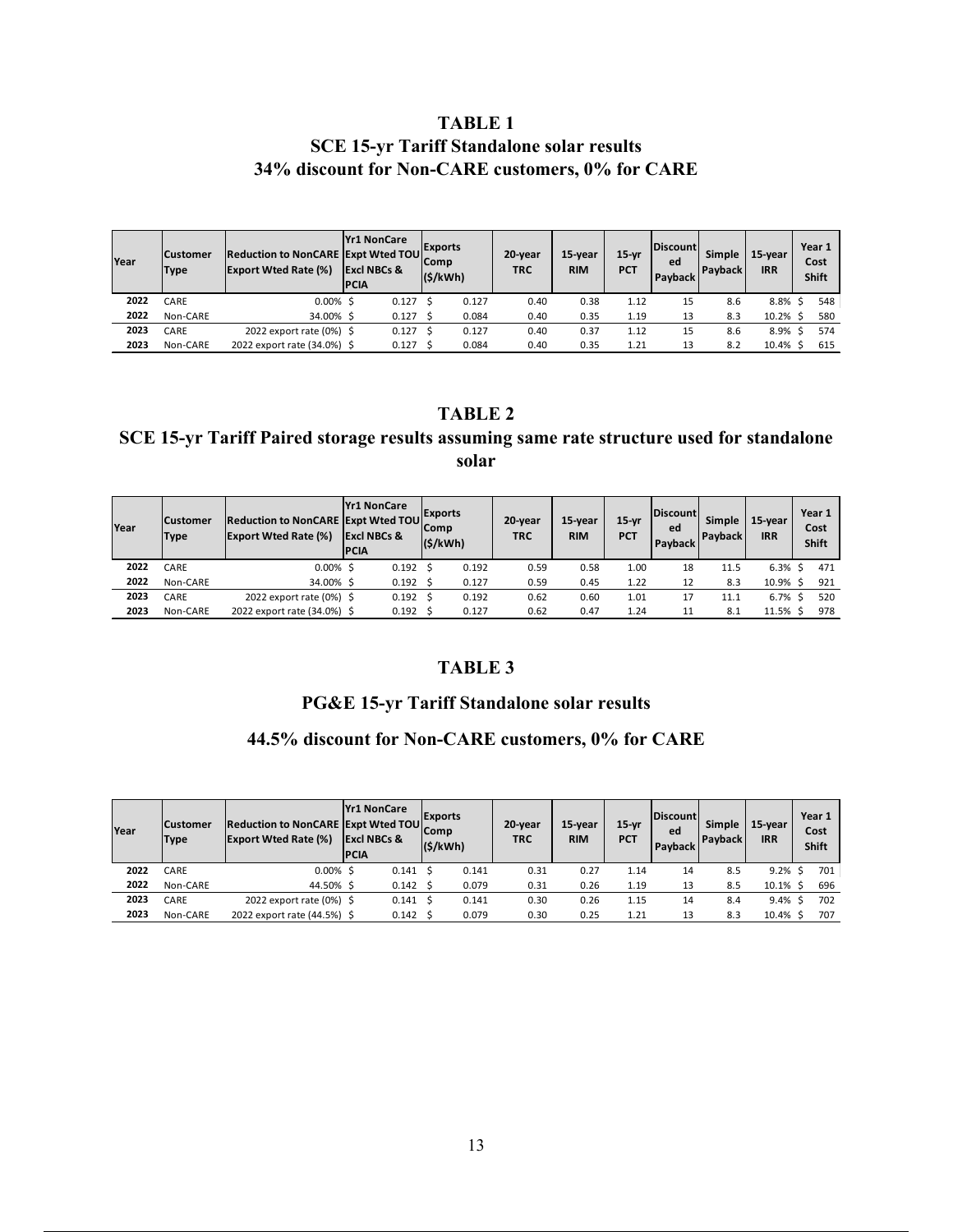## **TABLE 1 SCE 15-yr Tariff Standalone solar results 34% discount for Non-CARE customers, 0% for CARE**

| Year | <b>Customer</b><br><b>Type</b> | <b>Reduction to NonCARE Expt Wted TOU</b><br><b>Export Wted Rate (%)</b> | <b>Yr1 NonCare</b><br><b>Excl NBCs &amp;</b><br><b>IPCIA</b> | <b>Exports</b><br>Comp<br>(S/kWh) | 20-year<br><b>TRC</b> | 15-year<br><b>RIM</b> | $15-vr$<br><b>PCT</b> | <b>Discount</b><br>ed<br>Payback | Simple<br><b>Payback</b> | 15-year<br><b>IRR</b> | Year 1<br>Cost<br>Shift |  |
|------|--------------------------------|--------------------------------------------------------------------------|--------------------------------------------------------------|-----------------------------------|-----------------------|-----------------------|-----------------------|----------------------------------|--------------------------|-----------------------|-------------------------|--|
| 2022 | CARE                           | $0.00\%$ \$                                                              | 0.127                                                        | 0.127                             | 0.40                  | 0.38                  | 1.12                  | 15                               | 8.6                      | 8.8%                  | 548                     |  |
| 2022 | Non-CARE                       | 34.00% \$                                                                | 0.127                                                        | 0.084                             | 0.40                  | 0.35                  | 1.19                  | 13                               | 8.3                      | $10.2%$ \$            | 580                     |  |
| 2023 | CARE                           | 2022 export rate (0%) \$                                                 | 0.127                                                        | 0.127                             | 0.40                  | 0.37                  | 1.12                  | 15                               | 8.6                      | 8.9%                  | 574                     |  |
| 2023 | Non-CARE                       | 2022 export rate (34.0%) \$                                              | 0.127                                                        | 0.084                             | 0.40                  | 0.35                  | 1.21                  | 13                               | 8.2                      | 10.4%                 | 615                     |  |

#### **TABLE 2**

#### **SCE 15-yr Tariff Paired storage results assuming same rate structure used for standalone solar**

| Year | <b>Customer</b><br>Type | <b>Reduction to NonCARE Expt Wted TOU</b><br><b>Export Wted Rate (%)</b> | <b>Yr1 NonCare</b><br><b>Excl NBCs &amp;</b><br><b>PCIA</b> | <b>Exports</b><br><b>Comp</b><br>(S/kWh) | 20-year<br><b>TRC</b> | 15-year<br><b>RIM</b> | $15-yr$<br><b>PCT</b> | <b>Discount</b><br>ed<br>Payback | <b>Simple</b><br><b>Payback</b> | 15-year<br><b>IRR</b> | Year 1<br>Cost<br>Shift |
|------|-------------------------|--------------------------------------------------------------------------|-------------------------------------------------------------|------------------------------------------|-----------------------|-----------------------|-----------------------|----------------------------------|---------------------------------|-----------------------|-------------------------|
| 2022 | CARE                    | $0.00\%$ \$                                                              | 0.192                                                       | 0.192                                    | 0.59                  | 0.58                  | 1.00                  | 18                               | 11.5                            | $6.3\%$ \$            | 471                     |
| 2022 | Non-CARE                | 34.00% \$                                                                | 0.192                                                       | 0.127                                    | 0.59                  | 0.45                  | 1.22                  | 12                               | 8.3                             | 10.9% \$              | 921                     |
| 2023 | CARE                    | 2022 export rate (0%) \$                                                 | 0.192                                                       | 0.192                                    | 0.62                  | 0.60                  | 1.01                  | 17                               | 11.1                            | 6.7%                  | 520                     |
| 2023 | Non-CARE                | 2022 export rate (34.0%) \$                                              | 0.192                                                       | 0.127                                    | 0.62                  | 0.47                  | 1.24                  | 11                               | 8.1                             | 11.5% \$              | 978                     |

#### **TABLE 3**

## **PG&E 15-yr Tariff Standalone solar results**

## **44.5% discount for Non-CARE customers, 0% for CARE**

| Year | <b>Customer</b><br>Type | <b>Reduction to NonCARE Expt Wted TOU</b><br><b>Export Wted Rate (%)</b> | <b>Yr1 NonCare</b><br><b>Excl NBCs &amp;</b><br><b>PCIA</b> | <b>Exports</b><br>Comp<br>(S/kWh) | 20-year<br><b>TRC</b> | 15-year<br><b>RIM</b> | $15-vr$<br><b>PCT</b> | <b>Discount</b><br>ed<br>Payback | <b>Simple</b><br><b>Payback</b> | 15-year<br><b>IRR</b> | Year 1<br>Cost<br>Shift |
|------|-------------------------|--------------------------------------------------------------------------|-------------------------------------------------------------|-----------------------------------|-----------------------|-----------------------|-----------------------|----------------------------------|---------------------------------|-----------------------|-------------------------|
| 2022 | CARE                    | $0.00\%$ \$                                                              | 0.141                                                       | 0.141                             | 0.31                  | 0.27                  | 1.14                  | 14                               | 8.5                             | 9.2%                  | 701                     |
| 2022 | Non-CARE                | 44.50% \$                                                                | 0.142                                                       | 0.079                             | 0.31                  | 0.26                  | 1.19                  | 13                               | 8.5                             | $10.1\%$ \$           | 696                     |
| 2023 | CARE                    | 2022 export rate $(0%)$ \$                                               | 0.141                                                       | 0.141                             | 0.30                  | 0.26                  | 1.15                  | 14                               | 8.4                             | $9.4\%$ \$            | 702                     |
| 2023 | Non-CARE                | 2022 export rate (44.5%) \$                                              | 0.142                                                       | 0.079                             | 0.30                  | 0.25                  | 1.21                  | 13                               | 8.3                             | $10.4\%$ \$           | 707                     |